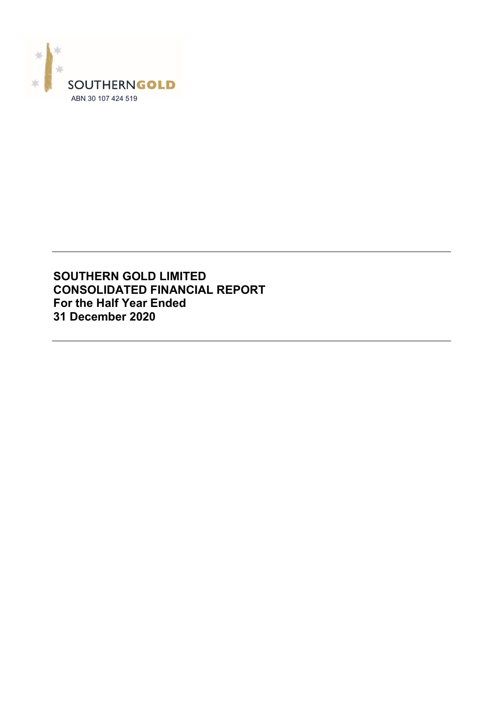

# **SOUTHERN GOLD LIMITED CONSOLIDATED FINANCIAL REPORT For the Half Year Ended 31 December 2020**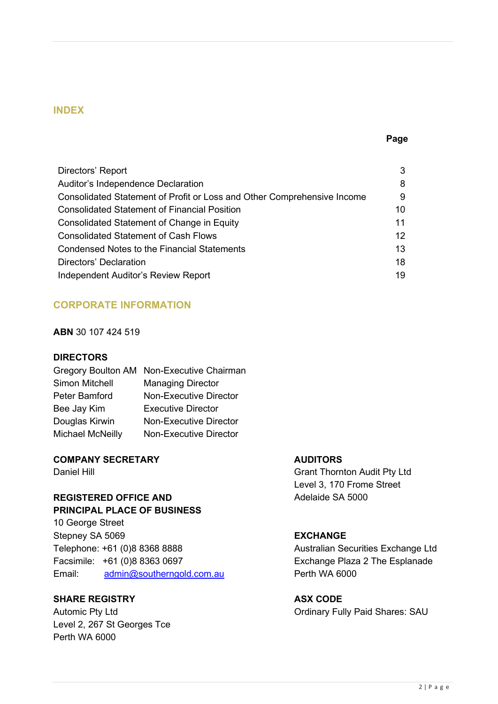# **INDEX**

### **Page**

| Directors' Report                                                       | 3  |
|-------------------------------------------------------------------------|----|
| Auditor's Independence Declaration                                      | 8  |
| Consolidated Statement of Profit or Loss and Other Comprehensive Income | 9  |
| <b>Consolidated Statement of Financial Position</b>                     | 10 |
| <b>Consolidated Statement of Change in Equity</b>                       | 11 |
| <b>Consolidated Statement of Cash Flows</b>                             | 12 |
| <b>Condensed Notes to the Financial Statements</b>                      | 13 |
| Directors' Declaration                                                  | 18 |
| Independent Auditor's Review Report                                     | 19 |

# **CORPORATE INFORMATION**

### **ABN** 30 107 424 519

### **DIRECTORS**

|                  | Gregory Boulton AM Non-Executive Chairman |
|------------------|-------------------------------------------|
| Simon Mitchell   | <b>Managing Director</b>                  |
| Peter Bamford    | <b>Non-Executive Director</b>             |
| Bee Jay Kim      | <b>Executive Director</b>                 |
| Douglas Kirwin   | <b>Non-Executive Director</b>             |
| Michael McNeilly | <b>Non-Executive Director</b>             |

# **COMPANY SECRETARY AUDITORS**

# **REGISTERED OFFICE AND** Adelaide SA 5000 **PRINCIPAL PLACE OF BUSINESS**

10 George Street Stepney SA 5069 **EXCHANGE** Telephone: +61 (0)8 8368 8888 Australian Securities Exchange Ltd Facsimile: +61 (0)8 8363 0697 Exchange Plaza 2 The Esplanade Email: [admin@southerngold.com.au](mailto:admin@southerngold.com.au) Perth WA 6000

# **SHARE REGISTRY ASX CODE**

Level 2, 267 St Georges Tce Perth WA 6000

Daniel Hill Grant Thornton Audit Pty Ltd Level 3, 170 Frome Street

Automic Pty Ltd **Automic Pty Ltd Contains a Containery Fully Paid Shares: SAU**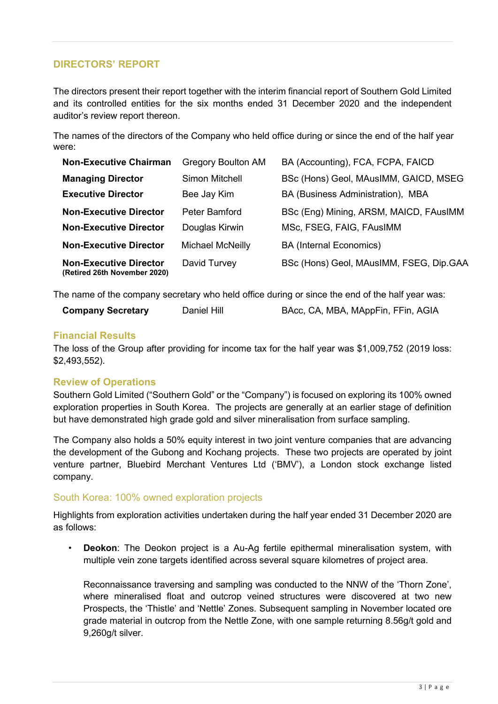# **DIRECTORS' REPORT**

The directors present their report together with the interim financial report of Southern Gold Limited and its controlled entities for the six months ended 31 December 2020 and the independent auditor's review report thereon.

The names of the directors of the Company who held office during or since the end of the half year were:

| <b>Non-Executive Chairman</b>                                 | <b>Gregory Boulton AM</b> | BA (Accounting), FCA, FCPA, FAICD       |
|---------------------------------------------------------------|---------------------------|-----------------------------------------|
| <b>Managing Director</b>                                      | Simon Mitchell            | BSc (Hons) Geol, MAusIMM, GAICD, MSEG   |
| <b>Executive Director</b>                                     | Bee Jay Kim               | BA (Business Administration), MBA       |
| <b>Non-Executive Director</b>                                 | Peter Bamford             | BSc (Eng) Mining, ARSM, MAICD, FAusIMM  |
| <b>Non-Executive Director</b>                                 | Douglas Kirwin            | MSc, FSEG, FAIG, FAusIMM                |
| <b>Non-Executive Director</b>                                 | <b>Michael McNeilly</b>   | <b>BA (Internal Economics)</b>          |
| <b>Non-Executive Director</b><br>(Retired 26th November 2020) | David Turvey              | BSc (Hons) Geol, MAusIMM, FSEG, Dip.GAA |

The name of the company secretary who held office during or since the end of the half year was:

| <b>Company Secretary</b> | Daniel Hill | BAcc, CA, MBA, MAppFin, FFin, AGIA |
|--------------------------|-------------|------------------------------------|
|--------------------------|-------------|------------------------------------|

# **Financial Results**

The loss of the Group after providing for income tax for the half year was \$1,009,752 (2019 loss: \$2,493,552).

# **Review of Operations**

Southern Gold Limited ("Southern Gold" or the "Company") is focused on exploring its 100% owned exploration properties in South Korea. The projects are generally at an earlier stage of definition but have demonstrated high grade gold and silver mineralisation from surface sampling.

The Company also holds a 50% equity interest in two joint venture companies that are advancing the development of the Gubong and Kochang projects. These two projects are operated by joint venture partner, Bluebird Merchant Ventures Ltd ('BMV'), a London stock exchange listed company.

# South Korea: 100% owned exploration projects

Highlights from exploration activities undertaken during the half year ended 31 December 2020 are as follows:

• **Deokon**: The Deokon project is a Au-Ag fertile epithermal mineralisation system, with multiple vein zone targets identified across several square kilometres of project area.

Reconnaissance traversing and sampling was conducted to the NNW of the 'Thorn Zone', where mineralised float and outcrop veined structures were discovered at two new Prospects, the 'Thistle' and 'Nettle' Zones. Subsequent sampling in November located ore grade material in outcrop from the Nettle Zone, with one sample returning 8.56g/t gold and 9,260g/t silver.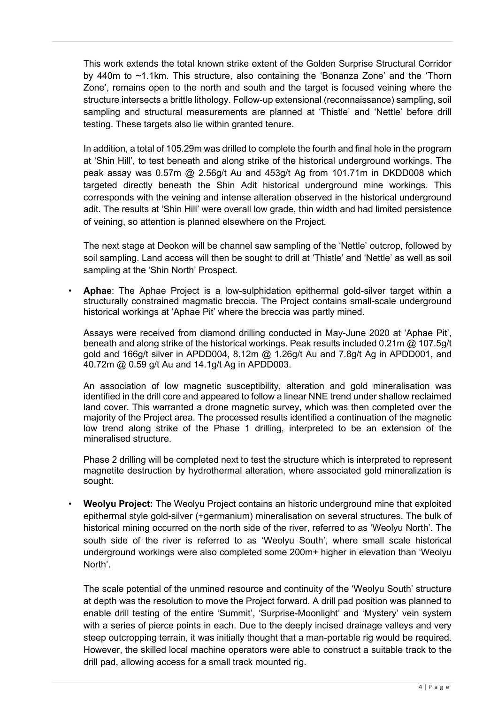This work extends the total known strike extent of the Golden Surprise Structural Corridor by 440m to ~1.1km. This structure, also containing the 'Bonanza Zone' and the 'Thorn Zone', remains open to the north and south and the target is focused veining where the structure intersects a brittle lithology. Follow-up extensional (reconnaissance) sampling, soil sampling and structural measurements are planned at 'Thistle' and 'Nettle' before drill testing. These targets also lie within granted tenure.

In addition, a total of 105.29m was drilled to complete the fourth and final hole in the program at 'Shin Hill', to test beneath and along strike of the historical underground workings. The peak assay was 0.57m @ 2.56g/t Au and 453g/t Ag from 101.71m in DKDD008 which targeted directly beneath the Shin Adit historical underground mine workings. This corresponds with the veining and intense alteration observed in the historical underground adit. The results at 'Shin Hill' were overall low grade, thin width and had limited persistence of veining, so attention is planned elsewhere on the Project.

The next stage at Deokon will be channel saw sampling of the 'Nettle' outcrop, followed by soil sampling. Land access will then be sought to drill at 'Thistle' and 'Nettle' as well as soil sampling at the 'Shin North' Prospect.

• **Aphae**: The Aphae Project is a low-sulphidation epithermal gold-silver target within a structurally constrained magmatic breccia. The Project contains small-scale underground historical workings at 'Aphae Pit' where the breccia was partly mined.

Assays were received from diamond drilling conducted in May-June 2020 at 'Aphae Pit', beneath and along strike of the historical workings. Peak results included 0.21m @ 107.5g/t gold and 166g/t silver in APDD004, 8.12m @ 1.26g/t Au and 7.8g/t Ag in APDD001, and 40.72m @ 0.59 g/t Au and 14.1g/t Ag in APDD003.

An association of low magnetic susceptibility, alteration and gold mineralisation was identified in the drill core and appeared to follow a linear NNE trend under shallow reclaimed land cover. This warranted a drone magnetic survey, which was then completed over the majority of the Project area. The processed results identified a continuation of the magnetic low trend along strike of the Phase 1 drilling, interpreted to be an extension of the mineralised structure.

Phase 2 drilling will be completed next to test the structure which is interpreted to represent magnetite destruction by hydrothermal alteration, where associated gold mineralization is sought.

• **Weolyu Project:** The Weolyu Project contains an historic underground mine that exploited epithermal style gold-silver (+germanium) mineralisation on several structures. The bulk of historical mining occurred on the north side of the river, referred to as 'Weolyu North'. The south side of the river is referred to as 'Weolyu South', where small scale historical underground workings were also completed some 200m+ higher in elevation than 'Weolyu North'.

The scale potential of the unmined resource and continuity of the 'Weolyu South' structure at depth was the resolution to move the Project forward. A drill pad position was planned to enable drill testing of the entire 'Summit', 'Surprise-Moonlight' and 'Mystery' vein system with a series of pierce points in each. Due to the deeply incised drainage valleys and very steep outcropping terrain, it was initially thought that a man-portable rig would be required. However, the skilled local machine operators were able to construct a suitable track to the drill pad, allowing access for a small track mounted rig.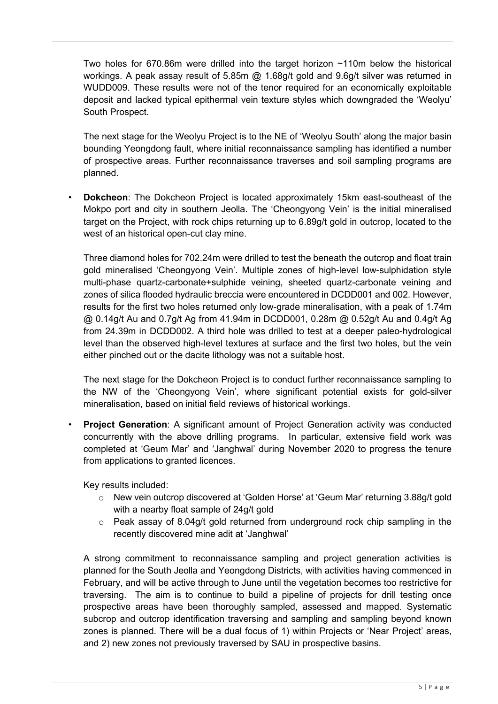Two holes for 670.86m were drilled into the target horizon ~110m below the historical workings. A peak assay result of 5.85m @ 1.68g/t gold and 9.6g/t silver was returned in WUDD009. These results were not of the tenor required for an economically exploitable deposit and lacked typical epithermal vein texture styles which downgraded the 'Weolyu' South Prospect.

The next stage for the Weolyu Project is to the NE of 'Weolyu South' along the major basin bounding Yeongdong fault, where initial reconnaissance sampling has identified a number of prospective areas. Further reconnaissance traverses and soil sampling programs are planned.

• **Dokcheon**: The Dokcheon Project is located approximately 15km east-southeast of the Mokpo port and city in southern Jeolla. The 'Cheongyong Vein' is the initial mineralised target on the Project, with rock chips returning up to 6.89g/t gold in outcrop, located to the west of an historical open-cut clay mine.

Three diamond holes for 702.24m were drilled to test the beneath the outcrop and float train gold mineralised 'Cheongyong Vein'. Multiple zones of high-level low-sulphidation style multi-phase quartz-carbonate+sulphide veining, sheeted quartz-carbonate veining and zones of silica flooded hydraulic breccia were encountered in DCDD001 and 002. However, results for the first two holes returned only low-grade mineralisation, with a peak of 1.74m  $@$  0.14g/t Au and 0.7g/t Ag from 41.94m in DCDD001, 0.28m  $@$  0.52g/t Au and 0.4g/t Ag from 24.39m in DCDD002. A third hole was drilled to test at a deeper paleo-hydrological level than the observed high-level textures at surface and the first two holes, but the vein either pinched out or the dacite lithology was not a suitable host.

The next stage for the Dokcheon Project is to conduct further reconnaissance sampling to the NW of the 'Cheongyong Vein', where significant potential exists for gold-silver mineralisation, based on initial field reviews of historical workings.

• **Project Generation**: A significant amount of Project Generation activity was conducted concurrently with the above drilling programs. In particular, extensive field work was completed at 'Geum Mar' and 'Janghwal' during November 2020 to progress the tenure from applications to granted licences.

Key results included:

- o New vein outcrop discovered at 'Golden Horse' at 'Geum Mar' returning 3.88g/t gold with a nearby float sample of 24g/t gold
- o Peak assay of 8.04g/t gold returned from underground rock chip sampling in the recently discovered mine adit at 'Janghwal'

A strong commitment to reconnaissance sampling and project generation activities is planned for the South Jeolla and Yeongdong Districts, with activities having commenced in February, and will be active through to June until the vegetation becomes too restrictive for traversing. The aim is to continue to build a pipeline of projects for drill testing once prospective areas have been thoroughly sampled, assessed and mapped. Systematic subcrop and outcrop identification traversing and sampling and sampling beyond known zones is planned. There will be a dual focus of 1) within Projects or 'Near Project' areas, and 2) new zones not previously traversed by SAU in prospective basins.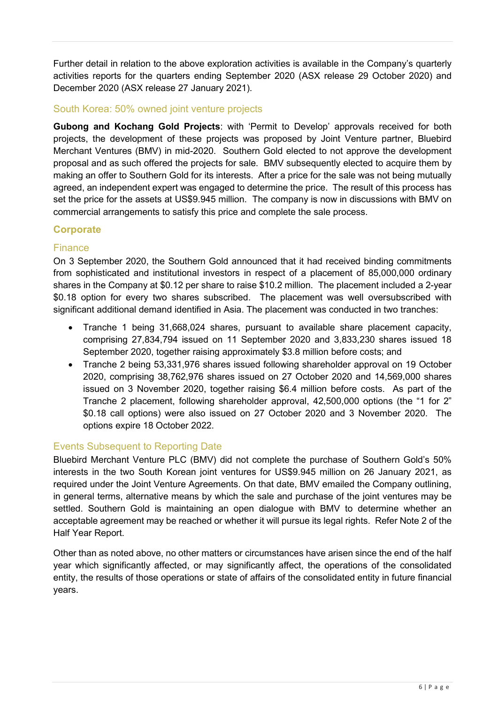Further detail in relation to the above exploration activities is available in the Company's quarterly activities reports for the quarters ending September 2020 (ASX release 29 October 2020) and December 2020 (ASX release 27 January 2021).

# South Korea: 50% owned joint venture projects

**Gubong and Kochang Gold Projects**: with 'Permit to Develop' approvals received for both projects, the development of these projects was proposed by Joint Venture partner, Bluebird Merchant Ventures (BMV) in mid-2020. Southern Gold elected to not approve the development proposal and as such offered the projects for sale. BMV subsequently elected to acquire them by making an offer to Southern Gold for its interests. After a price for the sale was not being mutually agreed, an independent expert was engaged to determine the price. The result of this process has set the price for the assets at US\$9.945 million. The company is now in discussions with BMV on commercial arrangements to satisfy this price and complete the sale process.

# **Corporate**

# Finance

On 3 September 2020, the Southern Gold announced that it had received binding commitments from sophisticated and institutional investors in respect of a placement of 85,000,000 ordinary shares in the Company at \$0.12 per share to raise \$10.2 million. The placement included a 2-year \$0.18 option for every two shares subscribed. The placement was well oversubscribed with significant additional demand identified in Asia. The placement was conducted in two tranches:

- Tranche 1 being 31,668,024 shares, pursuant to available share placement capacity, comprising 27,834,794 issued on 11 September 2020 and 3,833,230 shares issued 18 September 2020, together raising approximately \$3.8 million before costs; and
- Tranche 2 being 53,331,976 shares issued following shareholder approval on 19 October 2020, comprising 38,762,976 shares issued on 27 October 2020 and 14,569,000 shares issued on 3 November 2020, together raising \$6.4 million before costs. As part of the Tranche 2 placement, following shareholder approval, 42,500,000 options (the "1 for 2" \$0.18 call options) were also issued on 27 October 2020 and 3 November 2020. The options expire 18 October 2022.

# Events Subsequent to Reporting Date

Bluebird Merchant Venture PLC (BMV) did not complete the purchase of Southern Gold's 50% interests in the two South Korean joint ventures for US\$9.945 million on 26 January 2021, as required under the Joint Venture Agreements. On that date, BMV emailed the Company outlining, in general terms, alternative means by which the sale and purchase of the joint ventures may be settled. Southern Gold is maintaining an open dialogue with BMV to determine whether an acceptable agreement may be reached or whether it will pursue its legal rights. Refer Note 2 of the Half Year Report.

Other than as noted above, no other matters or circumstances have arisen since the end of the half year which significantly affected, or may significantly affect, the operations of the consolidated entity, the results of those operations or state of affairs of the consolidated entity in future financial years.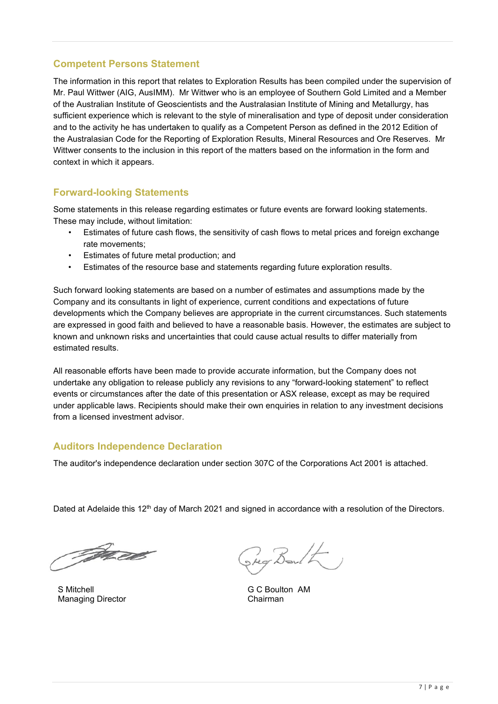# **Competent Persons Statement**

The information in this report that relates to Exploration Results has been compiled under the supervision of Mr. Paul Wittwer (AIG, AusIMM). Mr Wittwer who is an employee of Southern Gold Limited and a Member of the Australian Institute of Geoscientists and the Australasian Institute of Mining and Metallurgy, has sufficient experience which is relevant to the style of mineralisation and type of deposit under consideration and to the activity he has undertaken to qualify as a Competent Person as defined in the 2012 Edition of the Australasian Code for the Reporting of Exploration Results, Mineral Resources and Ore Reserves. Mr Wittwer consents to the inclusion in this report of the matters based on the information in the form and context in which it appears.

# **Forward-looking Statements**

Some statements in this release regarding estimates or future events are forward looking statements. These may include, without limitation:

- Estimates of future cash flows, the sensitivity of cash flows to metal prices and foreign exchange rate movements;
- Estimates of future metal production; and
- Estimates of the resource base and statements regarding future exploration results.

Such forward looking statements are based on a number of estimates and assumptions made by the Company and its consultants in light of experience, current conditions and expectations of future developments which the Company believes are appropriate in the current circumstances. Such statements are expressed in good faith and believed to have a reasonable basis. However, the estimates are subject to known and unknown risks and uncertainties that could cause actual results to differ materially from estimated results.

All reasonable efforts have been made to provide accurate information, but the Company does not undertake any obligation to release publicly any revisions to any "forward-looking statement" to reflect events or circumstances after the date of this presentation or ASX release, except as may be required under applicable laws. Recipients should make their own enquiries in relation to any investment decisions from a licensed investment advisor.

# **Auditors Independence Declaration**

The auditor's independence declaration under section 307C of the Corporations Act 2001 is attached.

Dated at Adelaide this 12<sup>th</sup> day of March 2021 and signed in accordance with a resolution of the Directors.

File ext

S Mitchell G C Boulton AM<br>
Managing Director Chairman<br>
Chairman **Managing Director** 

Reg Boult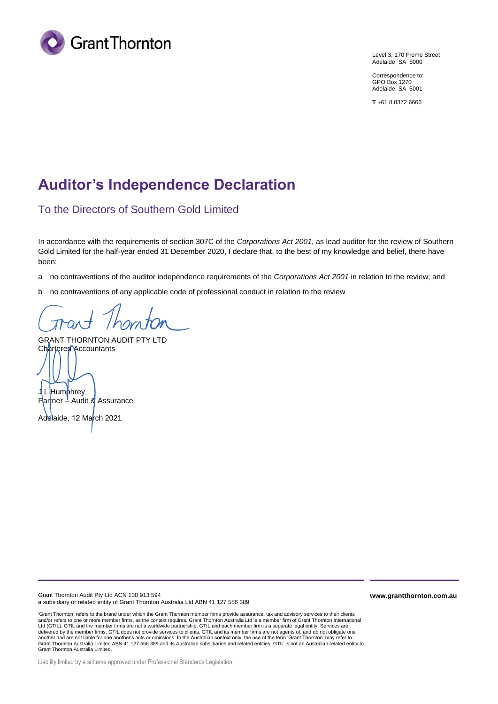

Level 3, 170 Frome Street Adelaide SA 5000

Correspondence to: GPO Box 1270 Adelaide SA 5001

**T** +61 8 8372 6666

# **Auditor's Independence Declaration**

# To the Directors of Southern Gold Limited

In accordance with the requirements of section 307C of the *Corporations Act 2001*, as lead auditor for the review of Southern Gold Limited for the half-year ended 31 December 2020, I declare that, to the best of my knowledge and belief, there have been:

a no contraventions of the auditor independence requirements of the *Corporations Act 2001* in relation to the review; and

b no contraventions of any applicable code of professional conduct in relation to the review

GRANT THORNTON AUDIT PTY LTD Chartered Accountants

J<mark> L Hump</mark>hrev Partner – Audit & Assurance

Adelaide, 12 March 2021

Grant Thornton Audit Pty Ltd ACN 130 913 594 a subsidiary or related entity of Grant Thornton Australia Ltd ABN 41 127 556 389

'Grant Thornton' refers to the brand under which the Grant Thornton member firms provide assurance, tax and advisory services to their clients and/or refers to one or more member firms, as the context requires. Grant Thornton Australia Ltd is a member firm of Grant Thornton International Ltd (GTIL). GTIL and the member firms are not a worldwide partnership. GTIL and each member firm is a separate legal entity. Services are delivered by the member firms. GTIL does not provide services to clients. GTIL and its member firms are not agents of, and do not obligate one another and are not liable for one another's acts or omissions. In the Australian context only, the use of the term 'Grant Thornton' may refer to<br>Grant Thornton Australia Limited ABN 41 127 556 389 and its Australian subsi Grant Thornton Australia Limited.

**www.grantthornton.com.au**

Liability limited by a scheme approved under Professional Standards Legislation.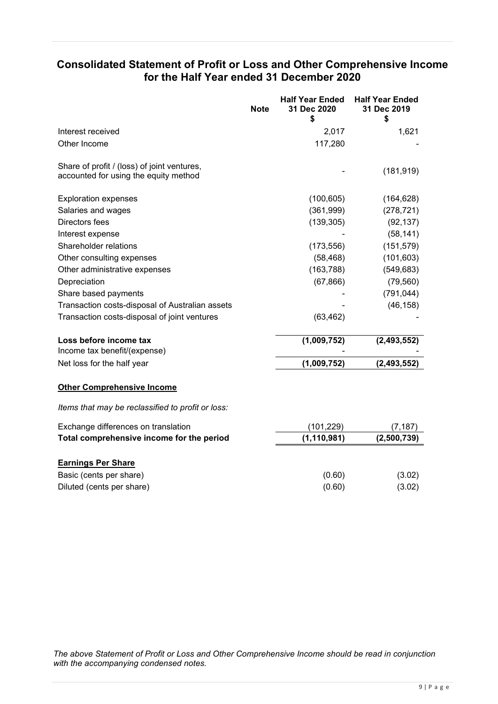# **Consolidated Statement of Profit or Loss and Other Comprehensive Income for the Half Year ended 31 December 2020**

| <b>Note</b>                                                                          | <b>Half Year Ended</b><br>31 Dec 2020<br>\$ | <b>Half Year Ended</b><br>31 Dec 2019<br>\$ |
|--------------------------------------------------------------------------------------|---------------------------------------------|---------------------------------------------|
| Interest received                                                                    | 2,017                                       | 1,621                                       |
| Other Income                                                                         | 117,280                                     |                                             |
| Share of profit / (loss) of joint ventures,<br>accounted for using the equity method |                                             | (181, 919)                                  |
| <b>Exploration expenses</b>                                                          | (100, 605)                                  | (164, 628)                                  |
| Salaries and wages                                                                   | (361,999)                                   | (278, 721)                                  |
| Directors fees                                                                       | (139, 305)                                  | (92, 137)                                   |
| Interest expense                                                                     |                                             | (58, 141)                                   |
| Shareholder relations                                                                | (173, 556)                                  | (151, 579)                                  |
| Other consulting expenses                                                            | (58, 468)                                   | (101, 603)                                  |
| Other administrative expenses                                                        | (163, 788)                                  | (549, 683)                                  |
| Depreciation                                                                         | (67, 866)                                   | (79, 560)                                   |
| Share based payments                                                                 |                                             | (791, 044)                                  |
| Transaction costs-disposal of Australian assets                                      |                                             | (46, 158)                                   |
| Transaction costs-disposal of joint ventures                                         | (63, 462)                                   |                                             |
| Loss before income tax                                                               | (1,009,752)                                 | (2, 493, 552)                               |
| Income tax benefit/(expense)                                                         |                                             |                                             |
| Net loss for the half year                                                           | (1,009,752)                                 | (2, 493, 552)                               |
| <b>Other Comprehensive Income</b>                                                    |                                             |                                             |
| Items that may be reclassified to profit or loss:                                    |                                             |                                             |
| Exchange differences on translation                                                  | (101, 229)                                  | (7, 187)                                    |
| Total comprehensive income for the period                                            | (1, 110, 981)                               | (2,500,739)                                 |
| <b>Earnings Per Share</b>                                                            |                                             |                                             |
| Basic (cents per share)                                                              | (0.60)                                      | (3.02)                                      |
| Diluted (cents per share)                                                            | (0.60)                                      | (3.02)                                      |

*The above Statement of Profit or Loss and Other Comprehensive Income should be read in conjunction with the accompanying condensed notes.*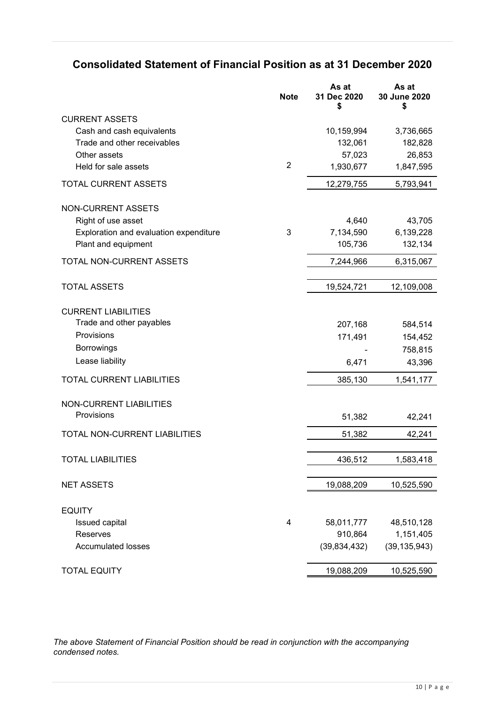# **Consolidated Statement of Financial Position as at 31 December 2020**

|                                        | <b>Note</b>    | As at<br>31 Dec 2020<br>\$ | As at<br>30 June 2020<br>S |
|----------------------------------------|----------------|----------------------------|----------------------------|
| <b>CURRENT ASSETS</b>                  |                |                            |                            |
| Cash and cash equivalents              |                | 10,159,994                 | 3,736,665                  |
| Trade and other receivables            |                | 132,061                    | 182,828                    |
| Other assets                           |                | 57,023                     | 26,853                     |
| Held for sale assets                   | $\overline{2}$ | 1,930,677                  | 1,847,595                  |
| TOTAL CURRENT ASSETS                   |                | 12,279,755                 | 5,793,941                  |
| <b>NON-CURRENT ASSETS</b>              |                |                            |                            |
| Right of use asset                     |                | 4,640                      | 43,705                     |
| Exploration and evaluation expenditure | 3              | 7,134,590                  | 6,139,228                  |
| Plant and equipment                    |                | 105,736                    | 132,134                    |
| <b>TOTAL NON-CURRENT ASSETS</b>        |                | 7,244,966                  | 6,315,067                  |
| <b>TOTAL ASSETS</b>                    |                | 19,524,721                 | 12,109,008                 |
|                                        |                |                            |                            |
| <b>CURRENT LIABILITIES</b>             |                |                            |                            |
| Trade and other payables               |                | 207,168                    | 584,514                    |
| Provisions                             |                | 171,491                    | 154,452                    |
| <b>Borrowings</b>                      |                |                            | 758,815                    |
| Lease liability                        |                | 6,471                      | 43,396                     |
| TOTAL CURRENT LIABILITIES              |                | 385,130                    | 1,541,177                  |
| <b>NON-CURRENT LIABILITIES</b>         |                |                            |                            |
| Provisions                             |                | 51,382                     | 42,241                     |
| TOTAL NON-CURRENT LIABILITIES          |                | 51,382                     | 42,241                     |
|                                        |                |                            |                            |
| <b>TOTAL LIABILITIES</b>               |                | 436,512                    | 1,583,418                  |
| <b>NET ASSETS</b>                      |                | 19,088,209                 | 10,525,590                 |
| <b>EQUITY</b>                          |                |                            |                            |
| Issued capital                         | $\overline{4}$ | 58,011,777                 | 48,510,128                 |
| Reserves                               |                | 910,864                    | 1,151,405                  |
| <b>Accumulated losses</b>              |                | (39, 834, 432)             | (39, 135, 943)             |
| <b>TOTAL EQUITY</b>                    |                | 19,088,209                 | 10,525,590                 |
|                                        |                |                            |                            |

*The above Statement of Financial Position should be read in conjunction with the accompanying condensed notes.*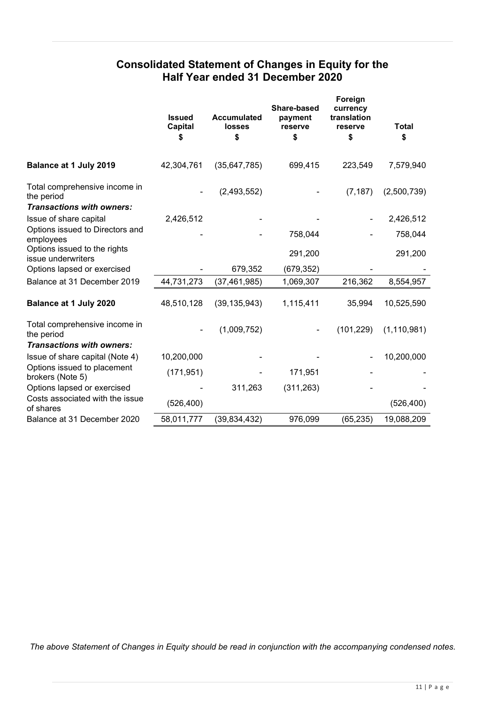# **Consolidated Statement of Changes in Equity for the Half Year ended 31 December 2020**

|                                                                                 | <b>Issued</b><br>Capital<br>S | <b>Accumulated</b><br><b>losses</b><br>\$ | Share-based<br>payment<br>reserve<br>\$ | Foreign<br>currency<br>translation<br>reserve<br>\$ | <b>Total</b><br>\$ |
|---------------------------------------------------------------------------------|-------------------------------|-------------------------------------------|-----------------------------------------|-----------------------------------------------------|--------------------|
| Balance at 1 July 2019                                                          | 42,304,761                    | (35, 647, 785)                            | 699,415                                 | 223,549                                             | 7,579,940          |
| Total comprehensive income in<br>the period<br><b>Transactions with owners:</b> |                               | (2,493,552)                               |                                         | (7, 187)                                            | (2,500,739)        |
| Issue of share capital                                                          | 2,426,512                     |                                           |                                         |                                                     | 2,426,512          |
| Options issued to Directors and<br>employees                                    |                               |                                           | 758,044                                 |                                                     | 758,044            |
| Options issued to the rights<br>issue underwriters                              |                               |                                           | 291,200                                 |                                                     | 291,200            |
| Options lapsed or exercised                                                     |                               | 679,352                                   | (679, 352)                              |                                                     |                    |
| Balance at 31 December 2019                                                     | 44,731,273                    | (37, 461, 985)                            | 1,069,307                               | 216,362                                             | 8,554,957          |
| Balance at 1 July 2020                                                          | 48,510,128                    | (39, 135, 943)                            | 1,115,411                               | 35,994                                              | 10,525,590         |
| Total comprehensive income in<br>the period<br><b>Transactions with owners:</b> |                               | (1,009,752)                               |                                         | (101, 229)                                          | (1, 110, 981)      |
| Issue of share capital (Note 4)                                                 | 10,200,000                    |                                           |                                         |                                                     | 10,200,000         |
| Options issued to placement<br>brokers (Note 5)                                 | (171, 951)                    |                                           | 171,951                                 |                                                     |                    |
| Options lapsed or exercised                                                     |                               | 311,263                                   | (311, 263)                              |                                                     |                    |
| Costs associated with the issue<br>of shares                                    | (526, 400)                    |                                           |                                         |                                                     | (526, 400)         |
| Balance at 31 December 2020                                                     | 58,011,777                    | (39, 834, 432)                            | 976,099                                 | (65, 235)                                           | 19,088,209         |

*The above Statement of Changes in Equity should be read in conjunction with the accompanying condensed notes.*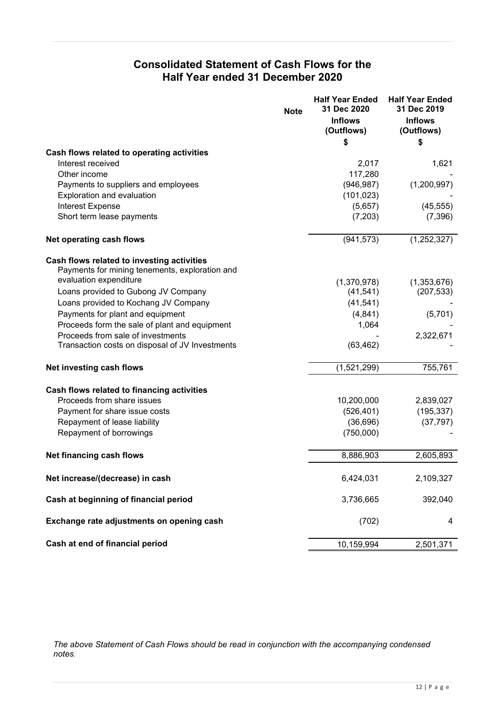# **Consolidated Statement of Cash Flows for the Half Year ended 31 December 2020**

|                                                 | <b>Note</b> | <b>Half Year Ended</b><br>31 Dec 2020 | <b>Half Year Ended</b><br>31 Dec 2019 |
|-------------------------------------------------|-------------|---------------------------------------|---------------------------------------|
|                                                 |             | <b>Inflows</b><br>(Outflows)          | <b>Inflows</b><br>(Outflows)          |
|                                                 |             | \$                                    | \$                                    |
| Cash flows related to operating activities      |             |                                       |                                       |
| Interest received                               |             | 2,017                                 | 1,621                                 |
| Other income                                    |             | 117,280                               |                                       |
| Payments to suppliers and employees             |             | (946, 987)                            | (1,200,997)                           |
| Exploration and evaluation                      |             | (101, 023)                            |                                       |
| Interest Expense                                |             | (5,657)                               | (45, 555)                             |
| Short term lease payments                       |             | (7,203)                               | (7, 396)                              |
| Net operating cash flows                        |             | (941, 573)                            | (1,252,327)                           |
| Cash flows related to investing activities      |             |                                       |                                       |
| Payments for mining tenements, exploration and  |             |                                       |                                       |
| evaluation expenditure                          |             | (1,370,978)                           | (1,353,676)                           |
| Loans provided to Gubong JV Company             |             | (41, 541)                             | (207, 533)                            |
| Loans provided to Kochang JV Company            |             | (41, 541)                             |                                       |
| Payments for plant and equipment                |             | (4, 841)                              | (5,701)                               |
| Proceeds form the sale of plant and equipment   |             | 1,064                                 |                                       |
| Proceeds from sale of investments               |             |                                       | 2,322,671                             |
| Transaction costs on disposal of JV Investments |             | (63, 462)                             |                                       |
| Net investing cash flows                        |             | (1,521,299)                           | 755,761                               |
| Cash flows related to financing activities      |             |                                       |                                       |
| Proceeds from share issues                      |             | 10,200,000                            | 2,839,027                             |
| Payment for share issue costs                   |             | (526, 401)                            | (195, 337)                            |
| Repayment of lease liability                    |             | (36, 696)                             | (37, 797)                             |
| Repayment of borrowings                         |             | (750,000)                             |                                       |
| Net financing cash flows                        |             | 8,886,903                             | 2,605,893                             |
| Net increase/(decrease) in cash                 |             | 6,424,031                             | 2,109,327                             |
| Cash at beginning of financial period           |             | 3,736,665                             | 392,040                               |
| Exchange rate adjustments on opening cash       |             | (702)                                 | 4                                     |
| Cash at end of financial period                 |             | 10,159,994                            | 2,501,371                             |

*The above Statement of Cash Flows should be read in conjunction with the accompanying condensed notes.*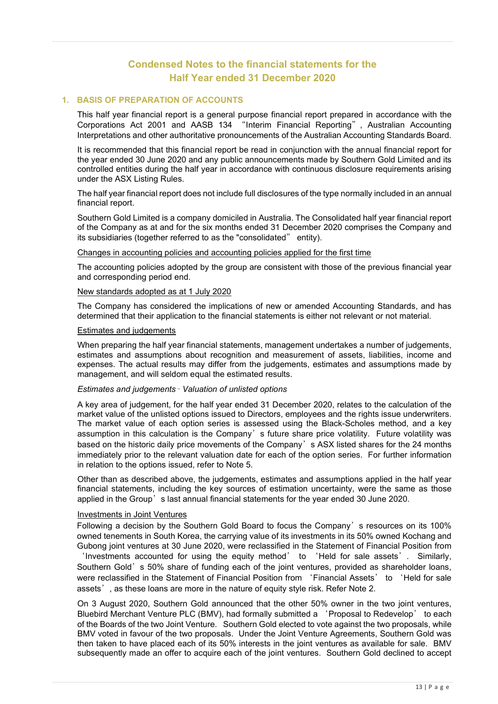# **Condensed Notes to the financial statements for the Half Year ended 31 December 2020**

### **1. BASIS OF PREPARATION OF ACCOUNTS**

This half year financial report is a general purpose financial report prepared in accordance with the Corporations Act 2001 and AASB 134 "Interim Financial Reporting", Australian Accounting Interpretations and other authoritative pronouncements of the Australian Accounting Standards Board.

It is recommended that this financial report be read in conjunction with the annual financial report for the year ended 30 June 2020 and any public announcements made by Southern Gold Limited and its controlled entities during the half year in accordance with continuous disclosure requirements arising under the ASX Listing Rules.

The half year financial report does not include full disclosures of the type normally included in an annual financial report.

Southern Gold Limited is a company domiciled in Australia. The Consolidated half year financial report of the Company as at and for the six months ended 31 December 2020 comprises the Company and its subsidiaries (together referred to as the "consolidated" entity).

Changes in accounting policies and accounting policies applied for the first time

The accounting policies adopted by the group are consistent with those of the previous financial year and corresponding period end.

### New standards adopted as at 1 July 2020

The Company has considered the implications of new or amended Accounting Standards, and has determined that their application to the financial statements is either not relevant or not material.

### Estimates and judgements

When preparing the half year financial statements, management undertakes a number of judgements, estimates and assumptions about recognition and measurement of assets, liabilities, income and expenses. The actual results may differ from the judgements, estimates and assumptions made by management, and will seldom equal the estimated results.

### *Estimates and judgements*– *Valuation of unlisted options*

A key area of judgement, for the half year ended 31 December 2020, relates to the calculation of the market value of the unlisted options issued to Directors, employees and the rights issue underwriters. The market value of each option series is assessed using the Black-Scholes method, and a key assumption in this calculation is the Company's future share price volatility. Future volatility was based on the historic daily price movements of the Company's ASX listed shares for the 24 months immediately prior to the relevant valuation date for each of the option series. For further information in relation to the options issued, refer to Note 5.

Other than as described above, the judgements, estimates and assumptions applied in the half year financial statements, including the key sources of estimation uncertainty, were the same as those applied in the Group's last annual financial statements for the year ended 30 June 2020.

### Investments in Joint Ventures

Following a decision by the Southern Gold Board to focus the Company's resources on its 100% owned tenements in South Korea, the carrying value of its investments in its 50% owned Kochang and Gubong joint ventures at 30 June 2020, were reclassified in the Statement of Financial Position from

'Investments accounted for using the equity method' to 'Held for sale assets'. Similarly, Southern Gold's 50% share of funding each of the joint ventures, provided as shareholder loans, were reclassified in the Statement of Financial Position from 'Financial Assets' to 'Held for sale assets', as these loans are more in the nature of equity style risk. Refer Note 2.

On 3 August 2020, Southern Gold announced that the other 50% owner in the two joint ventures, Bluebird Merchant Venture PLC (BMV), had formally submitted a 'Proposal to Redevelop' to each of the Boards of the two Joint Venture. Southern Gold elected to vote against the two proposals, while BMV voted in favour of the two proposals. Under the Joint Venture Agreements, Southern Gold was then taken to have placed each of its 50% interests in the joint ventures as available for sale. BMV subsequently made an offer to acquire each of the joint ventures. Southern Gold declined to accept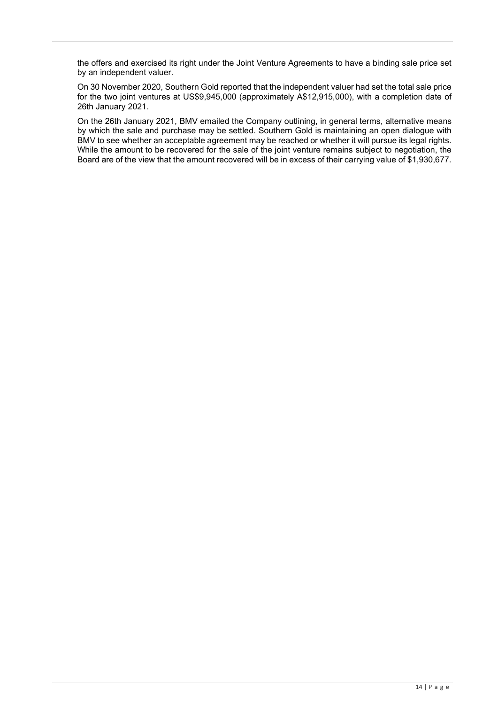the offers and exercised its right under the Joint Venture Agreements to have a binding sale price set by an independent valuer.

On 30 November 2020, Southern Gold reported that the independent valuer had set the total sale price for the two joint ventures at US\$9,945,000 (approximately A\$12,915,000), with a completion date of 26th January 2021.

On the 26th January 2021, BMV emailed the Company outlining, in general terms, alternative means by which the sale and purchase may be settled. Southern Gold is maintaining an open dialogue with BMV to see whether an acceptable agreement may be reached or whether it will pursue its legal rights. While the amount to be recovered for the sale of the joint venture remains subject to negotiation, the Board are of the view that the amount recovered will be in excess of their carrying value of \$1,930,677.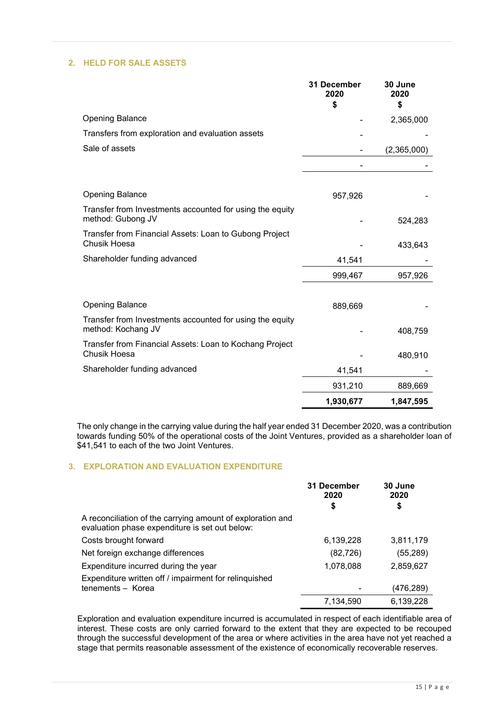### **2. HELD FOR SALE ASSETS**

|                                                                                | 31 December<br>2020<br>\$ | 30 June<br>2020<br>\$ |
|--------------------------------------------------------------------------------|---------------------------|-----------------------|
| <b>Opening Balance</b>                                                         |                           | 2,365,000             |
| Transfers from exploration and evaluation assets                               |                           |                       |
| Sale of assets                                                                 |                           | (2,365,000)           |
|                                                                                |                           |                       |
| <b>Opening Balance</b>                                                         |                           |                       |
|                                                                                | 957,926                   |                       |
| Transfer from Investments accounted for using the equity<br>method: Gubong JV  |                           | 524,283               |
| Transfer from Financial Assets: Loan to Gubong Project<br>Chusik Hoesa         |                           | 433,643               |
| Shareholder funding advanced                                                   | 41,541                    |                       |
|                                                                                | 999,467                   | 957,926               |
|                                                                                |                           |                       |
| <b>Opening Balance</b>                                                         | 889,669                   |                       |
| Transfer from Investments accounted for using the equity<br>method: Kochang JV |                           | 408,759               |
| Transfer from Financial Assets: Loan to Kochang Project<br><b>Chusik Hoesa</b> |                           |                       |
|                                                                                |                           | 480,910               |
| Shareholder funding advanced                                                   | 41,541                    |                       |
|                                                                                | 931,210                   | 889,669               |
|                                                                                | 1,930,677                 | 1,847,595             |

The only change in the carrying value during the half year ended 31 December 2020, was a contribution towards funding 50% of the operational costs of the Joint Ventures, provided as a shareholder loan of \$41,541 to each of the two Joint Ventures.

### **3. EXPLORATION AND EVALUATION EXPENDITURE**

|                                                                                                              | 31 December<br>2020 | 30 June<br>2020 |
|--------------------------------------------------------------------------------------------------------------|---------------------|-----------------|
|                                                                                                              | \$                  | \$              |
| A reconciliation of the carrying amount of exploration and<br>evaluation phase expenditure is set out below: |                     |                 |
| Costs brought forward                                                                                        | 6,139,228           | 3,811,179       |
| Net foreign exchange differences                                                                             | (82, 726)           | (55,289)        |
| Expenditure incurred during the year                                                                         | 1,078,088           | 2,859,627       |
| Expenditure written off / impairment for relinquished                                                        |                     |                 |
| tenements - Korea                                                                                            |                     | (476, 289)      |
|                                                                                                              | 7,134,590           | 6,139,228       |

Exploration and evaluation expenditure incurred is accumulated in respect of each identifiable area of interest. These costs are only carried forward to the extent that they are expected to be recouped through the successful development of the area or where activities in the area have not yet reached a stage that permits reasonable assessment of the existence of economically recoverable reserves.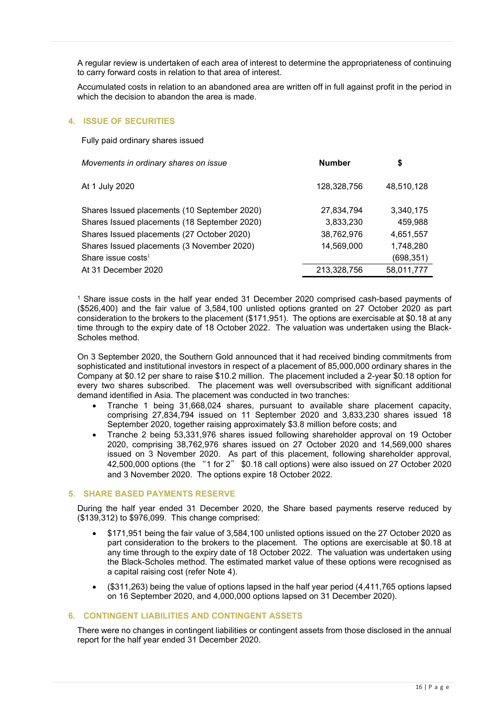A regular review is undertaken of each area of interest to determine the appropriateness of continuing to carry forward costs in relation to that area of interest.

Accumulated costs in relation to an abandoned area are written off in full against profit in the period in which the decision to abandon the area is made.

### **4. ISSUE OF SECURITIES**

Fully paid ordinary shares issued

| Movements in ordinary shares on issue        | <b>Number</b> | \$         |
|----------------------------------------------|---------------|------------|
| At 1 July 2020                               | 128,328,756   | 48,510,128 |
| Shares Issued placements (10 September 2020) | 27,834,794    | 3,340,175  |
| Shares Issued placements (18 September 2020) | 3,833,230     | 459,988    |
| Shares Issued placements (27 October 2020)   | 38,762,976    | 4,651,557  |
| Shares Issued placements (3 November 2020)   | 14,569,000    | 1,748,280  |
| Share issue costs <sup>1</sup>               |               | (698, 351) |
| At 31 December 2020                          | 213,328,756   | 58,011,777 |

<sup>1</sup> Share issue costs in the half year ended 31 December 2020 comprised cash-based payments of (\$526,400) and the fair value of 3,584,100 unlisted options granted on 27 October 2020 as part consideration to the brokers to the placement (\$171,951). The options are exercisable at \$0.18 at any time through to the expiry date of 18 October 2022. The valuation was undertaken using the Black-Scholes method.

On 3 September 2020, the Southern Gold announced that it had received binding commitments from sophisticated and institutional investors in respect of a placement of 85,000,000 ordinary shares in the Company at \$0.12 per share to raise \$10.2 million. The placement included a 2-year \$0.18 option for every two shares subscribed. The placement was well oversubscribed with significant additional demand identified in Asia. The placement was conducted in two tranches:

- Tranche 1 being 31,668,024 shares, pursuant to available share placement capacity, comprising 27,834,794 issued on 11 September 2020 and 3,833,230 shares issued 18 September 2020, together raising approximately \$3.8 million before costs; and
- Tranche 2 being 53,331,976 shares issued following shareholder approval on 19 October 2020, comprising 38,762,976 shares issued on 27 October 2020 and 14,569,000 shares issued on 3 November 2020. As part of this placement, following shareholder approval, 42,500,000 options (the "1 for 2" \$0.18 call options) were also issued on 27 October 2020 and 3 November 2020. The options expire 18 October 2022.

### **5. SHARE BASED PAYMENTS RESERVE**

During the half year ended 31 December 2020, the Share based payments reserve reduced by (\$139,312) to \$976,099. This change comprised:

- \$171,951 being the fair value of 3,584,100 unlisted options issued on the 27 October 2020 as part consideration to the brokers to the placement. The options are exercisable at \$0.18 at any time through to the expiry date of 18 October 2022. The valuation was undertaken using the Black-Scholes method. The estimated market value of these options were recognised as a capital raising cost (refer Note 4).
- (\$311,263) being the value of options lapsed in the half year period (4,411,765 options lapsed on 16 September 2020, and 4,000,000 options lapsed on 31 December 2020).

### **6. CONTINGENT LIABILITIES AND CONTINGENT ASSETS**

There were no changes in contingent liabilities or contingent assets from those disclosed in the annual report for the half year ended 31 December 2020.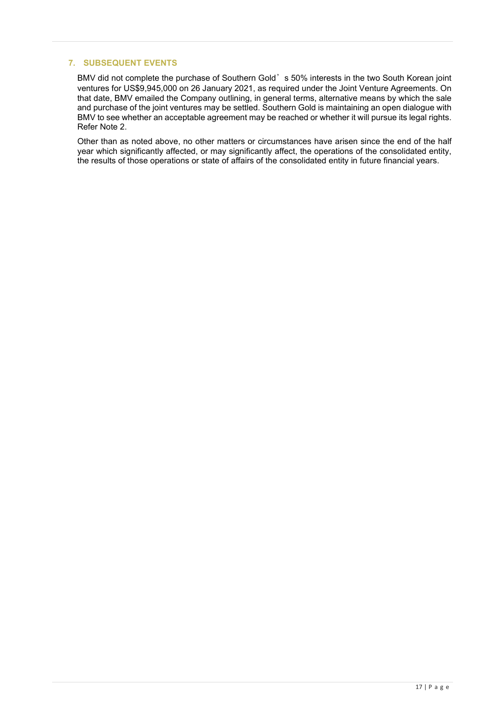# **7. SUBSEQUENT EVENTS**

BMV did not complete the purchase of Southern Gold's 50% interests in the two South Korean joint ventures for US\$9,945,000 on 26 January 2021, as required under the Joint Venture Agreements. On that date, BMV emailed the Company outlining, in general terms, alternative means by which the sale and purchase of the joint ventures may be settled. Southern Gold is maintaining an open dialogue with BMV to see whether an acceptable agreement may be reached or whether it will pursue its legal rights. Refer Note 2.

Other than as noted above, no other matters or circumstances have arisen since the end of the half year which significantly affected, or may significantly affect, the operations of the consolidated entity, the results of those operations or state of affairs of the consolidated entity in future financial years.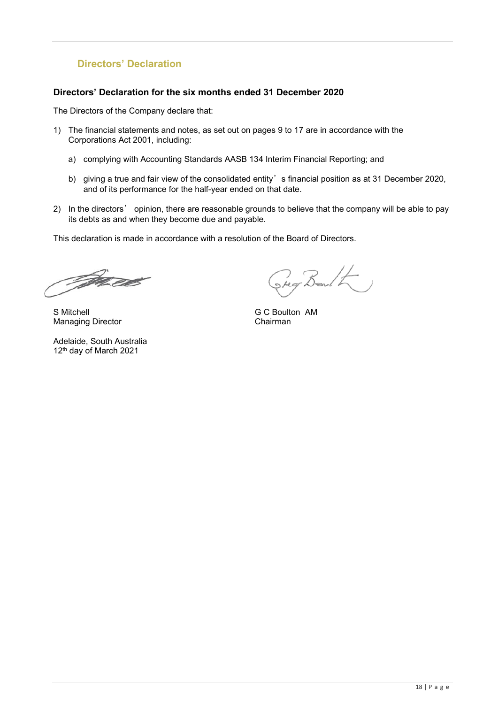# **Directors' Declaration**

### **Directors' Declaration for the six months ended 31 December 2020**

The Directors of the Company declare that:

- 1) The financial statements and notes, as set out on pages 9 to 17 are in accordance with the Corporations Act 2001, including:
	- a) complying with Accounting Standards AASB 134 Interim Financial Reporting; and
	- b) giving a true and fair view of the consolidated entity's financial position as at 31 December 2020, and of its performance for the half-year ended on that date.
- 2) In the directors' opinion, there are reasonable grounds to believe that the company will be able to pay its debts as and when they become due and payable.

This declaration is made in accordance with a resolution of the Board of Directors.

Jan 22

S Mitchell G C Boulton AM **Managing Director** 

Adelaide, South Australia 12th day of March 2021

Steg Barlton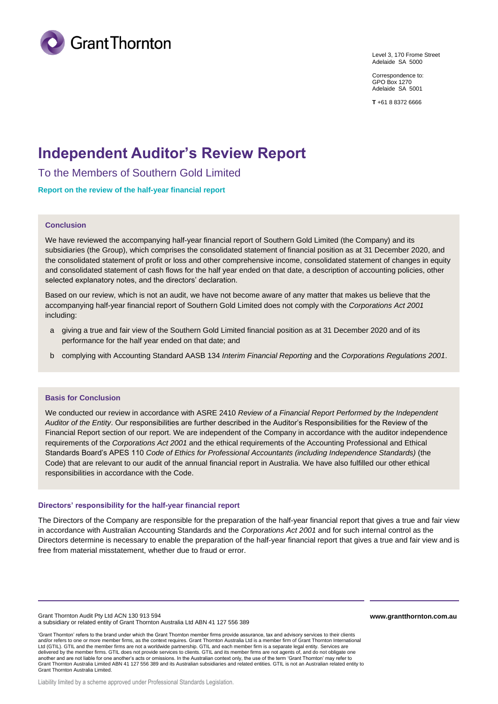

Level 3, 170 Frome Street Adelaide SA 5000

Correspondence to: GPO Box 1270 Adelaide SA 5001

**T** +61 8 8372 6666

# **Independent Auditor's Review Report**

To the Members of Southern Gold Limited

### **Report on the review of the half-year financial report**

### **Conclusion**

We have reviewed the accompanying half-year financial report of Southern Gold Limited (the Company) and its subsidiaries (the Group), which comprises the consolidated statement of financial position as at 31 December 2020, and the consolidated statement of profit or loss and other comprehensive income, consolidated statement of changes in equity and consolidated statement of cash flows for the half year ended on that date, a description of accounting policies, other selected explanatory notes, and the directors' declaration.

Based on our review, which is not an audit, we have not become aware of any matter that makes us believe that the accompanying half-year financial report of Southern Gold Limited does not comply with the *Corporations Act 2001* including:

- a giving a true and fair view of the Southern Gold Limited financial position as at 31 December 2020 and of its performance for the half year ended on that date; and
- b complying with Accounting Standard AASB 134 *Interim Financial Reporting* and the *Corporations Regulations 2001*.

### **Basis for Conclusion**

We conducted our review in accordance with ASRE 2410 *Review of a Financial Report Performed by the Independent Auditor of the Entity*. Our responsibilities are further described in the Auditor's Responsibilities for the Review of the Financial Report section of our report. We are independent of the Company in accordance with the auditor independence requirements of the *Corporations Act 2001* and the ethical requirements of the Accounting Professional and Ethical Standards Board's APES 110 *Code of Ethics for Professional Accountants (including Independence Standards)* (the Code) that are relevant to our audit of the annual financial report in Australia. We have also fulfilled our other ethical responsibilities in accordance with the Code.

### **Directors' responsibility for the half-year financial report**

The Directors of the Company are responsible for the preparation of the half-year financial report that gives a true and fair view in accordance with Australian Accounting Standards and the *Corporations Act 2001* and for such internal control as the Directors determine is necessary to enable the preparation of the half-year financial report that gives a true and fair view and is free from material misstatement, whether due to fraud or error.

Grant Thornton Audit Pty Ltd ACN 130 913 594 a subsidiary or related entity of Grant Thornton Australia Ltd ABN 41 127 556 389

'Grant Thornton' refers to the brand under which the Grant Thornton member firms provide assurance, tax and advisory services to their clients and/or refers to one or more member firms, as the context requires. Grant Thornton Australia Ltd is a member firm of Grant Thornton International Ltd (GTIL). GTIL and the member firms are not a worldwide partnership. GTIL and each member firm is a separate legal entity. Services are<br>delivered by the member firms. GTIL does not provide services to clients. GTIL and i another and are not liable for one another's acts or omissions. In the Australian context only, the use of the term 'Grant Thornton' may refer to<br>Grant Thornton Australia Limited ABN 41 127 556 389 and its Australian subsi Grant Thornton Australia Limited.

**www.grantthornton.com.au**